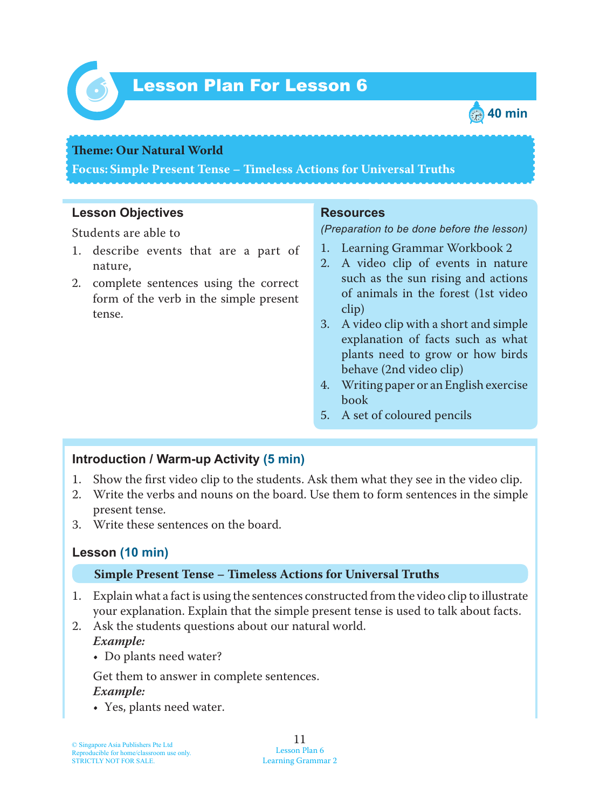

# *6* Lesson Plan For Lesson 6



#### **Teme : Our Natural World**

**Focus: Simple Present Tense – Timeless Actions for Universal Truths**

#### **Lesson Objectives**

Students are able to

- 1. describe events that are a part of nature,
- 2. complete sentences using the correct form of the verb in the simple present tense.

#### **Resources**

*(Preparation to be done before the lesson)*

- 1. Learning Grammar Workbook 2
- 2. A video clip of events in nature such as the sun rising and actions of animals in the forest (1st video clip)
- 3. A video clip with a short and simple explanation of facts such as what plants need to grow or how birds behave (2nd video clip)
- 4. Writing paper or an English exercise book
- 5. A set of coloured pencils

### **Introduction / Warm-up Activity (5 min)**

- 1. Show the first video clip to the students. Ask them what they see in the video clip.
- 2. Write the verbs and nouns on the board. Use them to form sentences in the simple present tense.
- 3. Write these sentences on the board.

### **Lesson (10 min)**

#### **Simple Present Tense – Timeless Actions for Universal Truths**

- 1. Explain what a fact is using the sentences constructed from the video clip to illustrate your explanation. Explain that the simple present tense is used to talk about facts.
- 2. Ask the students questions about our natural world. *Example:*
	- Do plants need water?

Get them to answer in complete sentences.

### *Example:*

• Yes, plants need water.